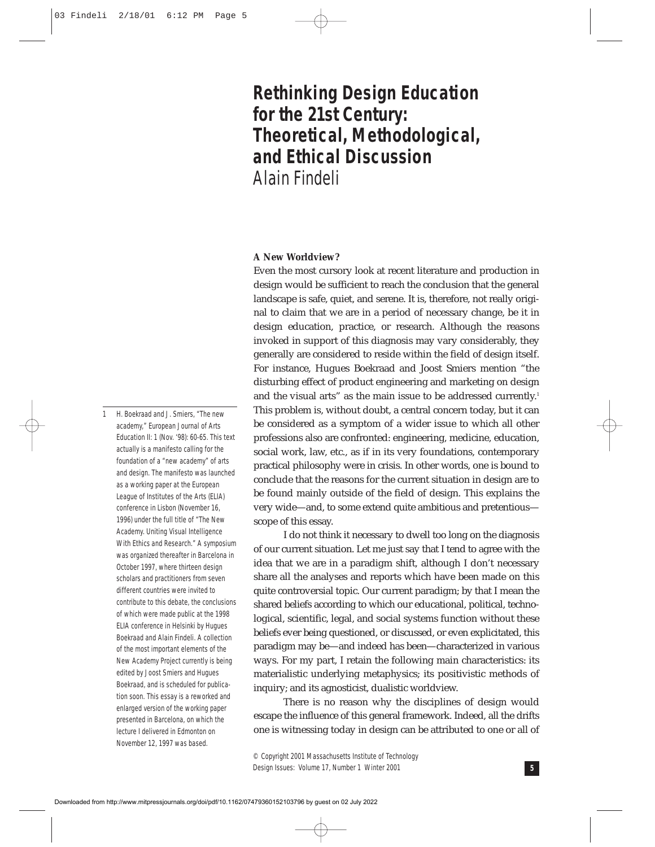# **Rethinking Design Education for the 21st Century: Theoretical, Methodological, and Ethical Discussion** Alain Findeli

## **A New Worldview?**

Even the most cursory look at recent literature and production in design would be sufficient to reach the conclusion that the general landscape is safe, quiet, and serene. It is, therefore, not really original to claim that we are in a period of necessary change, be it in design education, practice, or research. Although the reasons invoked in support of this diagnosis may vary considerably, they generally are considered to reside within the field of design itself. For instance, Hugues Boekraad and Joost Smiers mention "the disturbing effect of product engineering and marketing on design and the visual arts" as the main issue to be addressed currently.<sup>1</sup> This problem is, without doubt, a central concern today, but it can be considered as a symptom of a wider issue to which all other professions also are confronted: engineering, medicine, education, social work, law, etc., as if in its very foundations, contemporary practical philosophy were in crisis. In other words, one is bound to conclude that the reasons for the current situation in design are to be found mainly outside of the field of design. This explains the very wide—and, to some extend quite ambitious and pretentious scope of this essay.

I do not think it necessary to dwell too long on the diagnosis of our current situation. Let me just say that I tend to agree with the idea that we are in a paradigm shift, although I don't necessary share all the analyses and reports which have been made on this quite controversial topic. Our current paradigm; by that I mean the shared beliefs according to which our educational, political, technological, scientific, legal, and social systems function without these beliefs ever being questioned, or discussed, or even explicitated, this paradigm may be—and indeed has been—characterized in various ways. For my part, I retain the following main characteristics: its materialistic underlying metaphysics; its positivistic methods of inquiry; and its agnosticist, dualistic worldview.

There is no reason why the disciplines of design would escape the influence of this general framework. Indeed, all the drifts one is witnessing today in design can be attributed to one or all of

© Copyright 2001 Massachusetts Institute of Technology Design Issues: Volume 17, Number 1 Winter 2001 **5**

academy," *European Journal of Arts Education* II: 1 (Nov. '98): 60-65. This text actually is a manifesto calling for the foundation of a "new academy" of arts and design. The manifesto was launched as a working paper at the European League of Institutes of the Arts (ELIA) conference in Lisbon (November 16, 1996) under the full title of "The New Academy. Uniting Visual Intelligence With Ethics and Research." A symposium was organized thereafter in Barcelona in October 1997, where thirteen design scholars and practitioners from seven different countries were invited to contribute to this debate, the conclusions of which were made public at the 1998 ELIA conference in Helsinki by Hugues Boekraad and Alain Findeli. A collection of the most important elements of the New Academy Project currently is being edited by Joost Smiers and Hugues Boekraad, and is scheduled for publication soon. This essay is a reworked and enlarged version of the working paper presented in Barcelona, on which the lecture I delivered in Edmonton on November 12, 1997 was based.

H. Boekraad and J. Smiers, "The new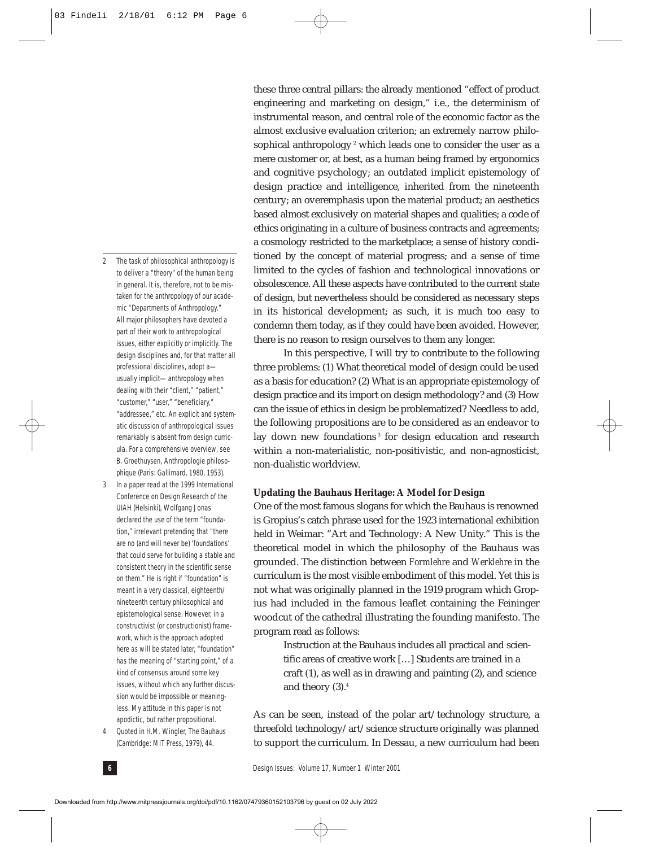2 The task of philosophical anthropology is to deliver a "theory" of the human being in general. It is, therefore, not to be mistaken for the anthropology of our academic "Departments of Anthropology." All major philosophers have devoted a part of their work to anthropological issues, either explicitly or implicitly. The design disciplines and, for that matter all professional disciplines, adopt a usually implicit—anthropology when dealing with their "client," "patient," "customer," "user," "beneficiary," "addressee," etc. An explicit and systematic discussion of anthropological issues remarkably is absent from design curricula. For a comprehensive overview, see B. Groethuysen, *Anthropologie philosophique* (Paris: Gallimard, 1980, 1953).

- 3 In a paper read at the 1999 International Conference on Design Research of the UIAH (Helsinki), Wolfgang Jonas declared the use of the term "foundation," irrelevant pretending that "there are no (and will never be) 'foundations' that could serve for building a stable and consistent theory in the scientific sense on them." He is right if "foundation" is meant in a very classical, eighteenth/ nineteenth century philosophical and epistemological sense. However, in a constructivist (or constructionist) framework, which is the approach adopted here as will be stated later, "foundation" has the meaning of "starting point," of a kind of consensus around some key issues, without which any further discussion would be impossible or meaningless. My attitude in this paper is not apodictic, but rather propositional.
- 4 Quoted in H.M. Wingler, *The Bauhaus* (Cambridge: MIT Press, 1979), 44.

these three central pillars: the already mentioned "effect of product engineering and marketing on design," i.e., the determinism of instrumental reason, and central role of the economic factor as the almost exclusive evaluation criterion; an extremely narrow philosophical anthropology<sup>2</sup> which leads one to consider the user as a mere customer or, at best, as a human being framed by ergonomics and cognitive psychology; an outdated implicit epistemology of design practice and intelligence, inherited from the nineteenth century; an overemphasis upon the material product; an aesthetics based almost exclusively on material shapes and qualities; a code of ethics originating in a culture of business contracts and agreements; a cosmology restricted to the marketplace; a sense of history conditioned by the concept of material progress; and a sense of time limited to the cycles of fashion and technological innovations or obsolescence. All these aspects have contributed to the current state of design, but nevertheless should be considered as necessary steps in its historical development; as such, it is much too easy to condemn them today, as if they could have been avoided. However, there is no reason to resign ourselves to them any longer.

In this perspective, I will try to contribute to the following three problems: (1) What theoretical model of design could be used as a basis for education? (2) What is an appropriate epistemology of design practice and its import on design methodology? and (3) How can the issue of ethics in design be problematized? Needless to add, the following propositions are to be considered as an endeavor to lay down new foundations<sup>3</sup> for design education and research within a non-materialistic, non-positivistic, and non-agnosticist, non-dualistic worldview.

## **Updating the Bauhaus Heritage: A Model for Design**

One of the most famous slogans for which the Bauhaus is renowned is Gropius's catch phrase used for the 1923 international exhibition held in Weimar: "Art and Technology: A New Unity." This is the theoretical model in which the philosophy of the Bauhaus was grounded. The distinction between *Formlehre* and *Werklehre* in the curriculum is the most visible embodiment of this model. Yet this is not what was originally planned in the 1919 program which Gropius had included in the famous leaflet containing the Feininger woodcut of the cathedral illustrating the founding manifesto. The program read as follows:

Instruction at the Bauhaus includes all practical and scientific areas of creative work […] Students are trained in a craft (1), as well as in drawing and painting (2), and science and theory (3).<sup>4</sup>

As can be seen, instead of the polar art/technology structure, a threefold technology/art/science structure originally was planned to support the curriculum. In Dessau, a new curriculum had been

**6** Design Issues: Volume 17, Number 1 Winter 2001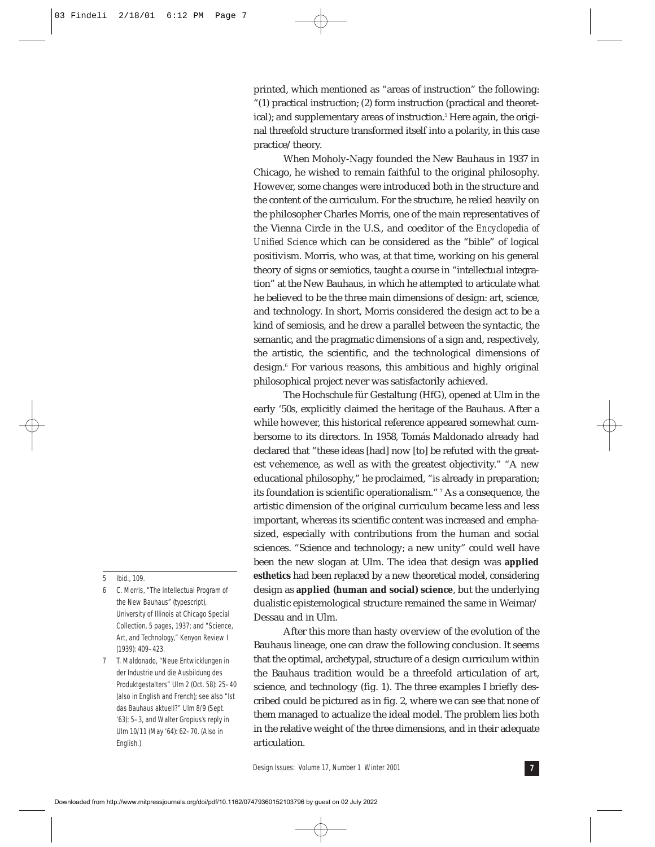printed, which mentioned as "areas of instruction" the following: "(1) practical instruction; (2) form instruction (practical and theoretical); and supplementary areas of instruction.<sup>5</sup> Here again, the original threefold structure transformed itself into a polarity, in this case practice/theory.

When Moholy-Nagy founded the New Bauhaus in 1937 in Chicago, he wished to remain faithful to the original philosophy. However, some changes were introduced both in the structure and the content of the curriculum. For the structure, he relied heavily on the philosopher Charles Morris, one of the main representatives of the Vienna Circle in the U.S., and coeditor of the *Encyclopedia of Unified Science* which can be considered as the "bible" of logical positivism. Morris, who was, at that time, working on his general theory of signs or semiotics, taught a course in "intellectual integration" at the New Bauhaus, in which he attempted to articulate what he believed to be the three main dimensions of design: art, science, and technology. In short, Morris considered the design act to be a kind of semiosis, and he drew a parallel between the syntactic, the semantic, and the pragmatic dimensions of a sign and, respectively, the artistic, the scientific, and the technological dimensions of design.6 For various reasons, this ambitious and highly original philosophical project never was satisfactorily achieved.

The Hochschule für Gestaltung (HfG), opened at Ulm in the early '50s, explicitly claimed the heritage of the Bauhaus. After a while however, this historical reference appeared somewhat cumbersome to its directors. In 1958, Tomás Maldonado already had declared that "these ideas [had] now [to] be refuted with the greatest vehemence, as well as with the greatest objectivity." "A new educational philosophy," he proclaimed, "is already in preparation; its foundation is scientific operationalism." <sup>7</sup> As a consequence, the artistic dimension of the original curriculum became less and less important, whereas its scientific content was increased and emphasized, especially with contributions from the human and social sciences. "Science and technology; a new unity" could well have been the new slogan at Ulm. The idea that design was **applied esthetics** had been replaced by a new theoretical model, considering design as **applied (human and social) science**, but the underlying dualistic epistemological structure remained the same in Weimar/ Dessau and in Ulm.

After this more than hasty overview of the evolution of the Bauhaus lineage, one can draw the following conclusion. It seems that the optimal, archetypal, structure of a design curriculum within the Bauhaus tradition would be a threefold articulation of art, science, and technology (fig. 1). The three examples I briefly described could be pictured as in fig. 2, where we can see that none of them managed to actualize the ideal model. The problem lies both in the relative weight of the three dimensions, and in their adequate articulation.

Design Issues: Volume 17, Number 1 Winter 2001 **7**

5 Ibid., 109.

- 6 C. Morris, "The Intellectual Program of the New Bauhaus" (typescript), University of Illinois at Chicago Special Collection, 5 pages, 1937; and "Science, Art, and Technology," *Kenyon Review* I (1939): 409–423.
- 7 T. Maldonado, "Neue Entwicklungen in der Industrie und die Ausbildung des Produktgestalters" *Ulm* 2 (Oct. 58): 25–40 (also in English and French); see also "Ist das Bauhaus aktuell?" *Ulm* 8/9 (Sept. '63): 5–3, and Walter Gropius's reply in *Ulm* 10/11 (May '64): 62–70. (Also in English.)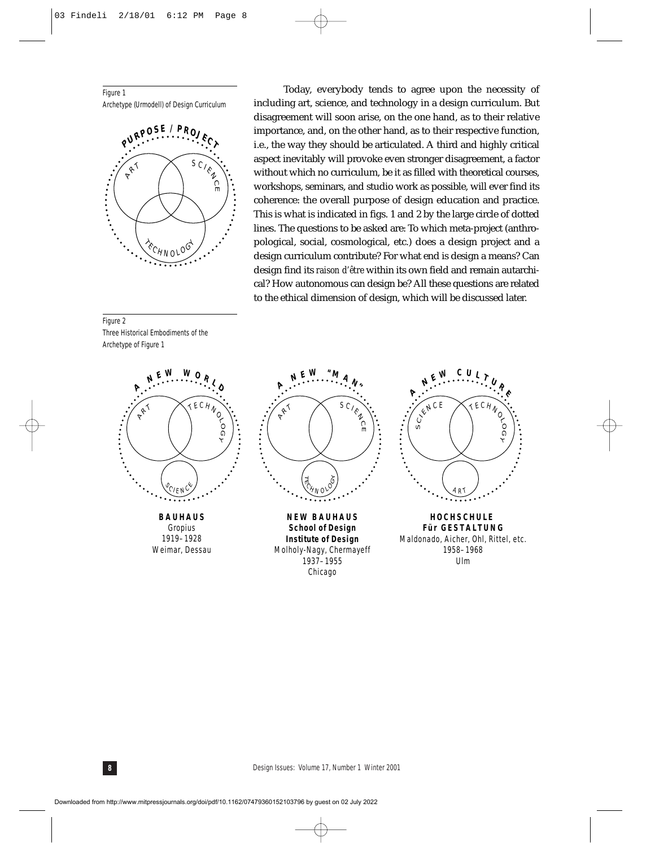Figure 1 Archetype (Urmodell) of Design Curriculum



Today, everybody tends to agree upon the necessity of including art, science, and technology in a design curriculum. But disagreement will soon arise, on the one hand, as to their relative importance, and, on the other hand, as to their respective function, i.e., the way they should be articulated. A third and highly critical aspect inevitably will provoke even stronger disagreement, a factor without which no curriculum, be it as filled with theoretical courses, workshops, seminars, and studio work as possible, will ever find its coherence: the overall purpose of design education and practice. This is what is indicated in figs. 1 and 2 by the large circle of dotted lines. The questions to be asked are: To which meta-project (anthropological, social, cosmological, etc.) does a design project and a design curriculum contribute? For what end is design a means? Can design find its *raison d'être* within its own field and remain autarchical? How autonomous can design be? All these questions are related to the ethical dimension of design, which will be discussed later.

Figure 2

Three Historical Embodiments of the Archetype of Figure 1



Chicago

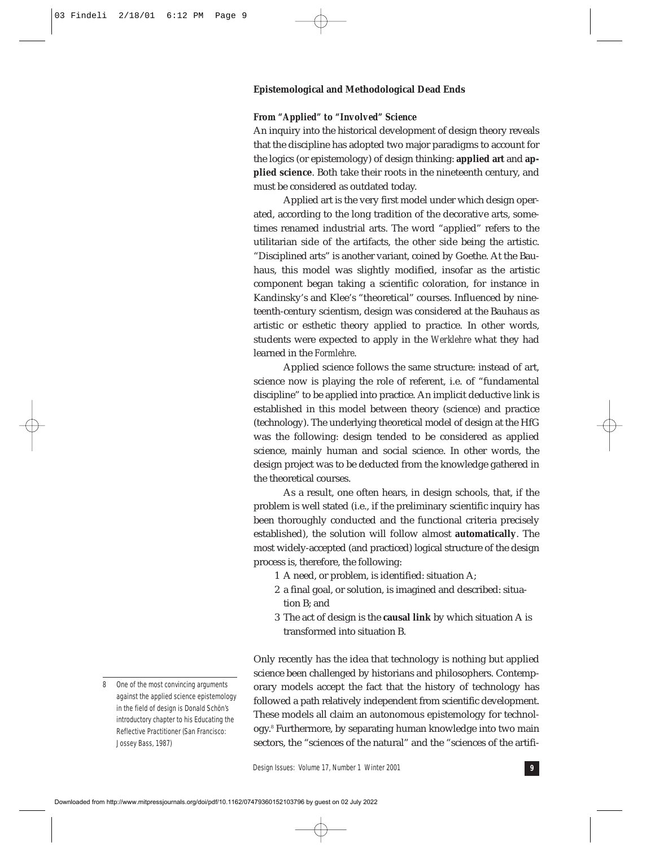#### **Epistemological and Methodological Dead Ends**

## *From "Applied" to "Involved" Science*

An inquiry into the historical development of design theory reveals that the discipline has adopted two major paradigms to account for the logics (or epistemology) of design thinking: **applied art** and **applied science**. Both take their roots in the nineteenth century, and must be considered as outdated today.

Applied art is the very first model under which design operated, according to the long tradition of the decorative arts, sometimes renamed industrial arts. The word "applied" refers to the utilitarian side of the artifacts, the other side being the artistic. "Disciplined arts" is another variant, coined by Goethe. At the Bauhaus, this model was slightly modified, insofar as the artistic component began taking a scientific coloration, for instance in Kandinsky's and Klee's "theoretical" courses. Influenced by nineteenth-century scientism, design was considered at the Bauhaus as artistic or esthetic theory applied to practice. In other words, students were expected to apply in the *Werklehre* what they had learned in the *Formlehre*.

Applied science follows the same structure: instead of art, science now is playing the role of referent, i.e. of "fundamental discipline" to be applied into practice. An implicit deductive link is established in this model between theory (science) and practice (technology). The underlying theoretical model of design at the HfG was the following: design tended to be considered as applied science, mainly human and social science. In other words, the design project was to be deducted from the knowledge gathered in the theoretical courses.

As a result, one often hears, in design schools, that, if the problem is well stated (i.e., if the preliminary scientific inquiry has been thoroughly conducted and the functional criteria precisely established), the solution will follow almost **automatically**. The most widely-accepted (and practiced) logical structure of the design process is, therefore, the following:

1 A need, or problem, is identified: situation A;

- 2 a final goal, or solution, is imagined and described: situation B; and
- 3 The act of design is the **causal link** by which situation A is transformed into situation B.

Only recently has the idea that technology is nothing but applied science been challenged by historians and philosophers. Contemporary models accept the fact that the history of technology has followed a path relatively independent from scientific development. These models all claim an autonomous epistemology for technology.8 Furthermore, by separating human knowledge into two main sectors, the "sciences of the natural" and the "sciences of the artifi-

Design Issues: Volume 17, Number 1 Winter 2001 **9**

<sup>8</sup> One of the most convincing arguments against the applied science epistemology in the field of design is Donald Schön's introductory chapter to his *Educating the Reflective Practitioner* (San Francisco: Jossey Bass, 1987)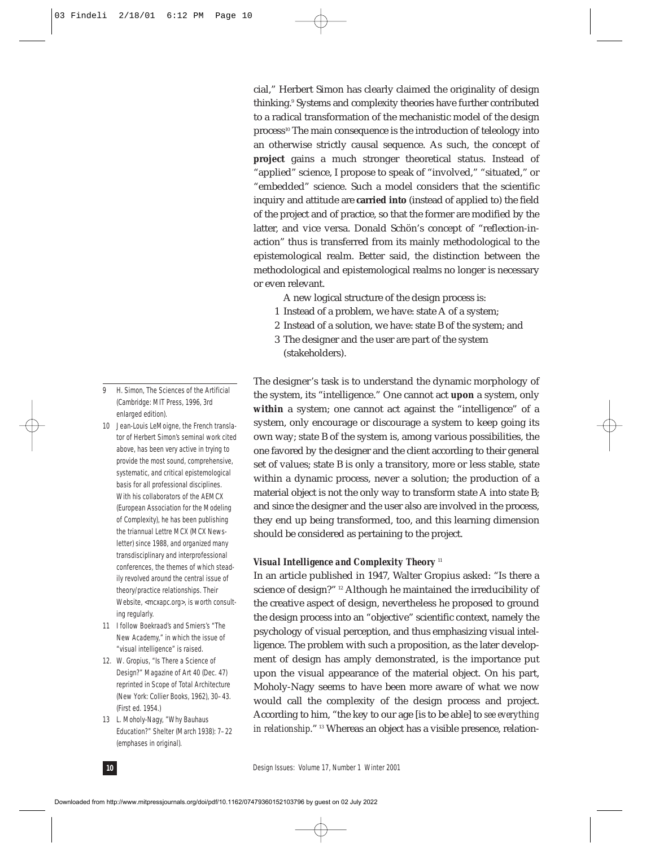cial," Herbert Simon has clearly claimed the originality of design thinking.9 Systems and complexity theories have further contributed to a radical transformation of the mechanistic model of the design process<sup>10</sup> The main consequence is the introduction of teleology into an otherwise strictly causal sequence. As such, the concept of **project** gains a much stronger theoretical status. Instead of "applied" science, I propose to speak of "involved," "situated," or "embedded" science. Such a model considers that the scientific inquiry and attitude are **carried into** (instead of applied to) the field of the project and of practice, so that the former are modified by the latter, and vice versa. Donald Schön's concept of "reflection-inaction" thus is transferred from its mainly methodological to the epistemological realm. Better said, the distinction between the methodological and epistemological realms no longer is necessary or even relevant.

A new logical structure of the design process is:

- 1 Instead of a problem, we have: state A of a system;
- 2 Instead of a solution, we have: state B of the system; and
- 3 The designer and the user are part of the system (stakeholders).

The designer's task is to understand the dynamic morphology of the system, its "intelligence." One cannot act **upon** a system, only within a system; one cannot act against the "intelligence" of a system, only encourage or discourage a system to keep going its own way; state B of the system is, among various possibilities, the one favored by the designer and the client according to their general set of values; state B is only a transitory, more or less stable, state within a dynamic process, never a solution; the production of a material object is not the only way to transform state A into state B; and since the designer and the user also are involved in the process, they end up being transformed, too, and this learning dimension should be considered as pertaining to the project.

#### *Visual Intelligence and Complexity Theory* <sup>11</sup>

In an article published in 1947, Walter Gropius asked: "Is there a science of design?" <sup>12</sup> Although he maintained the irreducibility of the creative aspect of design, nevertheless he proposed to ground the design process into an "objective" scientific context, namely the psychology of visual perception, and thus emphasizing visual intelligence. The problem with such a proposition, as the later development of design has amply demonstrated, is the importance put upon the visual appearance of the material object. On his part, Moholy-Nagy seems to have been more aware of what we now would call the complexity of the design process and project. According to him, "the key to our age [is to be able] to *see everything in relationship*." <sup>13</sup> Whereas an object has a visible presence, relation-

**10** Design Issues: Volume 17, Number 1 Winter 2001

9 H. Simon, *The Sciences of the Artificial* (Cambridge: MIT Press, 1996, 3rd enlarged edition).

- 10 Jean-Louis LeMoigne, the French translator of Herbert Simon's seminal work cited above, has been very active in trying to provide the most sound, comprehensive, systematic, and critical epistemological basis for all professional disciplines. With his collaborators of the AEMCX (European Association for the Modeling of Complexity), he has been publishing the triannual *Lettre MCX* (MCX Newsletter) since 1988, and organized many transdisciplinary and interprofessional conferences, the themes of which steadily revolved around the central issue of theory/practice relationships. Their Website, <mcxapc.org>, is worth consulting regularly.
- 11 I follow Boekraad's and Smiers's "The New Academy," in which the issue of "visual intelligence" is raised.
- 12. W. Gropius, "Is There a Science of Design?" *Magazine of Art* 40 (Dec. 47) reprinted in *Scope of Total Architecture* (New York: Collier Books, 1962), 30–43. (First ed. 1954.)
- 13 L. Moholy-Nagy, "Why Bauhaus Education?" *Shelter* (March 1938): 7–22 (emphases in original).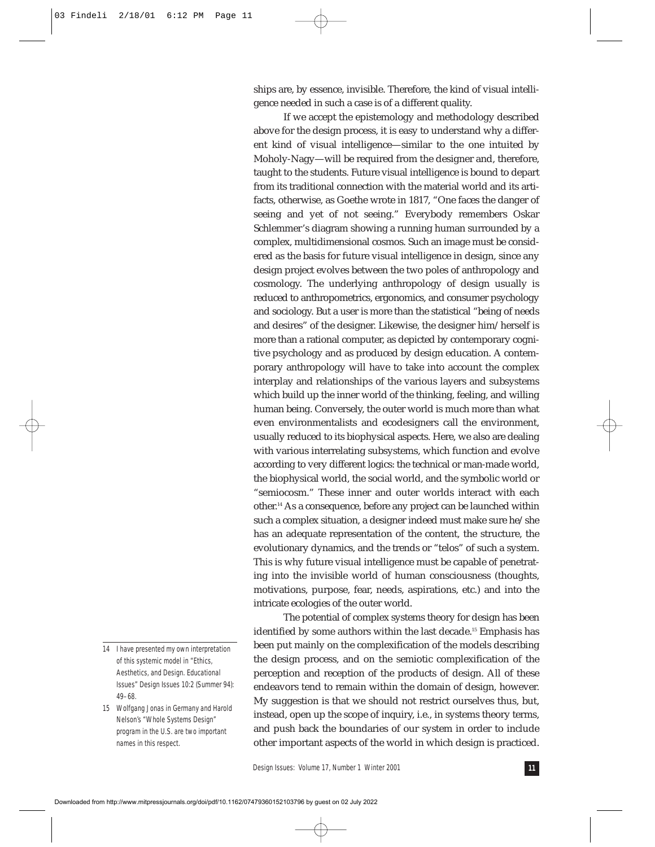ships are, by essence, invisible. Therefore, the kind of visual intelligence needed in such a case is of a different quality.

If we accept the epistemology and methodology described above for the design process, it is easy to understand why a different kind of visual intelligence—similar to the one intuited by Moholy-Nagy—will be required from the designer and, therefore, taught to the students. Future visual intelligence is bound to depart from its traditional connection with the material world and its artifacts, otherwise, as Goethe wrote in 1817, "One faces the danger of seeing and yet of not seeing." Everybody remembers Oskar Schlemmer's diagram showing a running human surrounded by a complex, multidimensional cosmos. Such an image must be considered as the basis for future visual intelligence in design, since any design project evolves between the two poles of anthropology and cosmology. The underlying anthropology of design usually is reduced to anthropometrics, ergonomics, and consumer psychology and sociology. But a user is more than the statistical "being of needs and desires" of the designer. Likewise, the designer him/herself is more than a rational computer, as depicted by contemporary cognitive psychology and as produced by design education. A contemporary anthropology will have to take into account the complex interplay and relationships of the various layers and subsystems which build up the inner world of the thinking, feeling, and willing human being. Conversely, the outer world is much more than what even environmentalists and ecodesigners call the environment, usually reduced to its biophysical aspects. Here, we also are dealing with various interrelating subsystems, which function and evolve according to very different logics: the technical or man-made world, the biophysical world, the social world, and the symbolic world or "semiocosm." These inner and outer worlds interact with each other.14 As a consequence, before any project can be launched within such a complex situation, a designer indeed must make sure he/she has an adequate representation of the content, the structure, the evolutionary dynamics, and the trends or "telos" of such a system. This is why future visual intelligence must be capable of penetrating into the invisible world of human consciousness (thoughts, motivations, purpose, fear, needs, aspirations, etc.) and into the intricate ecologies of the outer world.

The potential of complex systems theory for design has been identified by some authors within the last decade.<sup>15</sup> Emphasis has been put mainly on the complexification of the models describing the design process, and on the semiotic complexification of the perception and reception of the products of design. All of these endeavors tend to remain within the domain of design, however. My suggestion is that we should not restrict ourselves thus, but, instead, open up the scope of inquiry, i.e., in systems theory terms, and push back the boundaries of our system in order to include other important aspects of the world in which design is practiced.

Design Issues: Volume 17, Number 1 Winter 2001 **11**

15 Wolfgang Jonas in Germany and Harold Nelson's "Whole Systems Design" program in the U.S. are two important names in this respect.

<sup>14</sup> I have presented my own interpretation of this systemic model in "Ethics, Aesthetics, and Design. Educational Issues" *Design Issues* 10:2 (Summer 94): 49–68.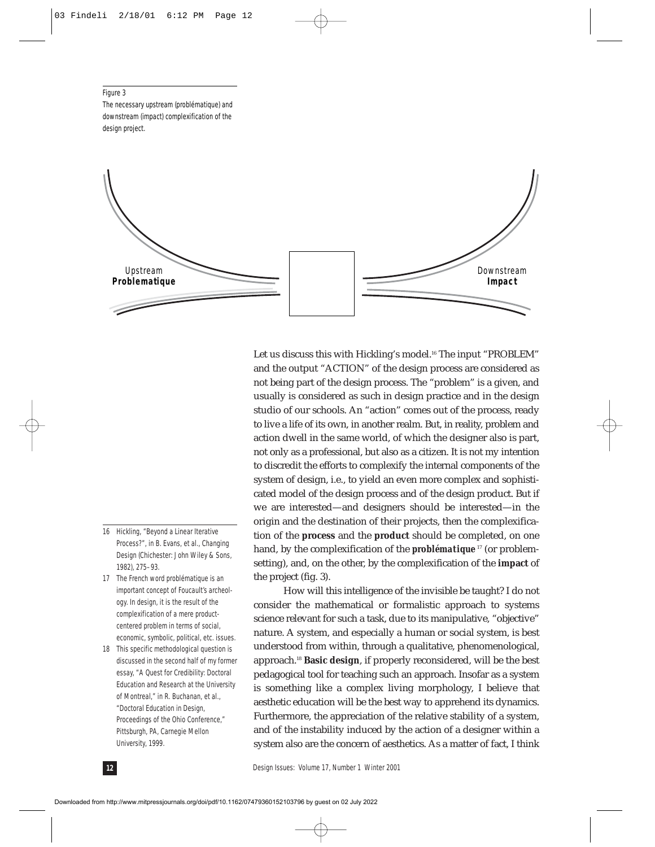#### Figure 3

The necessary upstream (problématique) and downstream (impact) complexification of the design project.



Let us discuss this with Hickling's model.<sup>16</sup> The input "PROBLEM" and the output "ACTION" of the design process are considered as not being part of the design process. The "problem" is a given, and usually is considered as such in design practice and in the design studio of our schools. An "action" comes out of the process, ready to live a life of its own, in another realm. But, in reality, problem and action dwell in the same world, of which the designer also is part, not only as a professional, but also as a citizen. It is not my intention to discredit the efforts to complexify the internal components of the system of design, i.e., to yield an even more complex and sophisticated model of the design process and of the design product. But if we are interested—and designers should be interested—in the origin and the destination of their projects, then the complexification of the **process** and the **product** should be completed, on one hand, by the complexification of the **problematique**<sup>17</sup> (or problemsetting), and, on the other, by the complexification of the **impact** of the project (fig. 3).

- 16 Hickling, "Beyond a Linear Iterative Process?", in B. Evans, et al., *Changing Design* (Chichester: John Wiley & Sons, 1982), 275–93.
- 17 The French word *problématique* is an important concept of Foucault's archeology. In design, it is the result of the complexification of a mere productcentered problem in terms of social, economic, symbolic, political, etc. issues.
- 18 This specific methodological question is discussed in the second half of my former essay, "A Quest for Credibility: Doctoral Education and Research at the University of Montreal," in R. Buchanan, et al., "Doctoral Education in Design, Proceedings of the Ohio Conference," Pittsburgh, PA, Carnegie Mellon University, 1999.

How will this intelligence of the invisible be taught? I do not consider the mathematical or formalistic approach to systems science relevant for such a task, due to its manipulative, "objective" nature. A system, and especially a human or social system, is best understood from within, through a qualitative, phenomenological, approach.18 **Basic design**, if properly reconsidered, will be the best pedagogical tool for teaching such an approach. Insofar as a system is something like a complex living morphology, I believe that aesthetic education will be the best way to apprehend its dynamics. Furthermore, the appreciation of the relative stability of a system, and of the instability induced by the action of a designer within a system also are the concern of aesthetics. As a matter of fact, I think

**12** Design Issues: Volume 17, Number 1 Winter 2001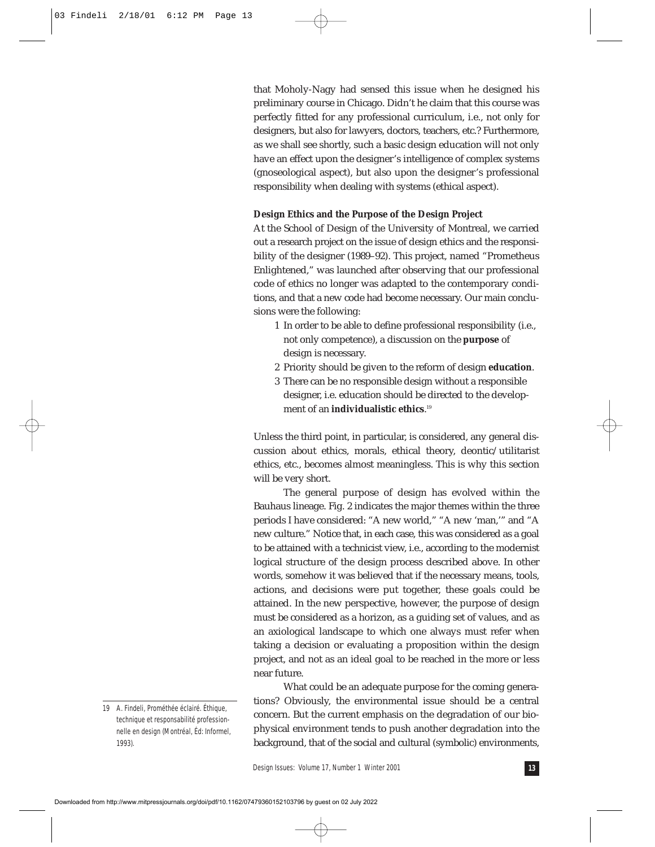that Moholy-Nagy had sensed this issue when he designed his preliminary course in Chicago. Didn't he claim that this course was perfectly fitted for any professional curriculum, i.e., not only for designers, but also for lawyers, doctors, teachers, etc.? Furthermore, as we shall see shortly, such a basic design education will not only have an effect upon the designer's intelligence of complex systems (gnoseological aspect), but also upon the designer's professional responsibility when dealing with systems (ethical aspect).

### **Design Ethics and the Purpose of the Design Project**

At the School of Design of the University of Montreal, we carried out a research project on the issue of design ethics and the responsibility of the designer (1989–92). This project, named "Prometheus Enlightened," was launched after observing that our professional code of ethics no longer was adapted to the contemporary conditions, and that a new code had become necessary. Our main conclusions were the following:

- 1 In order to be able to define professional responsibility (i.e., not only competence), a discussion on the **purpose** of design is necessary.
- 2 Priority should be given to the reform of design **education**.
- 3 There can be no responsible design without a responsible designer, i.e. education should be directed to the development of an **individualistic ethics**. 19

Unless the third point, in particular, is considered, any general discussion about ethics, morals, ethical theory, deontic/utilitarist ethics, etc., becomes almost meaningless. This is why this section will be very short.

The general purpose of design has evolved within the Bauhaus lineage. Fig. 2 indicates the major themes within the three periods I have considered: "A new world," "A new 'man,'" and "A new culture." Notice that, in each case, this was considered as a goal to be attained with a technicist view, i.e., according to the modernist logical structure of the design process described above. In other words, somehow it was believed that if the necessary means, tools, actions, and decisions were put together, these goals could be attained. In the new perspective, however, the purpose of design must be considered as a horizon, as a guiding set of values, and as an axiological landscape to which one always must refer when taking a decision or evaluating a proposition within the design project, and not as an ideal goal to be reached in the more or less near future.

What could be an adequate purpose for the coming generations? Obviously, the environmental issue should be a central concern. But the current emphasis on the degradation of our biophysical environment tends to push another degradation into the background, that of the social and cultural (symbolic) environments,

Design Issues: Volume 17, Number 1 Winter 2001 **13**

<sup>19</sup> A. Findeli, *Prométhée éclairé. Éthique, technique et responsabilité professionnelle en design* (Montréal, Éd: Informel, 1993).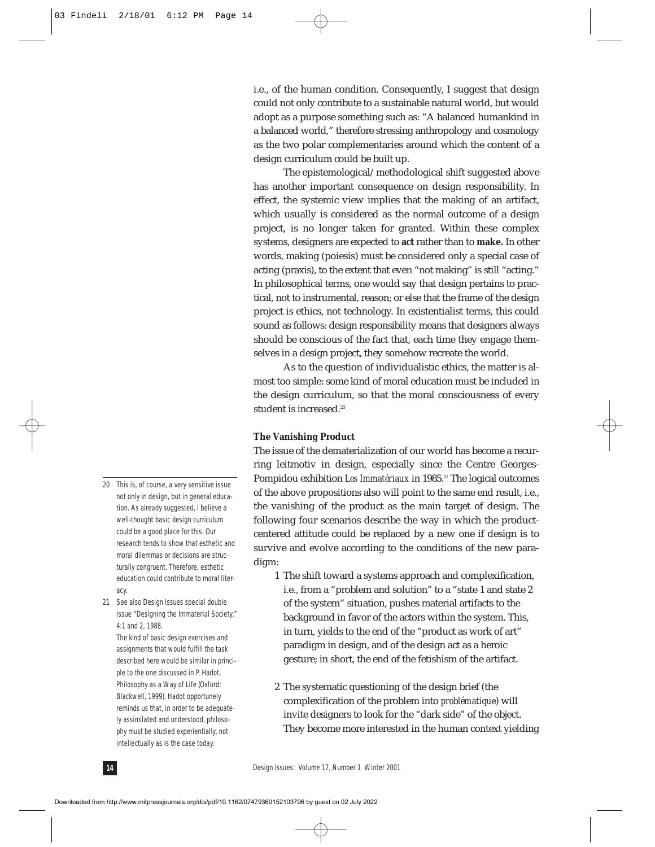i.e., of the human condition. Consequently, I suggest that design could not only contribute to a sustainable natural world, but would adopt as a purpose something such as: "A balanced humankind in a balanced world," therefore stressing anthropology and cosmology as the two polar complementaries around which the content of a design curriculum could be built up.

The epistemological/methodological shift suggested above has another important consequence on design responsibility. In effect, the systemic view implies that the making of an artifact, which usually is considered as the normal outcome of a design project, is no longer taken for granted. Within these complex systems, designers are expected to **act** rather than to **make.** In other words, making (poiesis) must be considered only a special case of acting (praxis), to the extent that even "not making" is still "acting." In philosophical terms, one would say that design pertains to practical, not to instrumental, reason; or else that the frame of the design project is ethics, not technology. In existentialist terms, this could sound as follows: design responsibility means that designers always should be conscious of the fact that, each time they engage themselves in a design project, they somehow recreate the world.

As to the question of individualistic ethics, the matter is almost too simple: some kind of moral education must be included in the design curriculum, so that the moral consciousness of every student is increased.<sup>20</sup>

#### **The Vanishing Product**

The issue of the dematerialization of our world has become a recurring leitmotiv in design, especially since the Centre Georges-Pompidou exhibition *Les Immatériaux* in 1985.<sup>21</sup> The logical outcomes of the above propositions also will point to the same end result, i.e., the vanishing of the product as the main target of design. The following four scenarios describe the way in which the productcentered attitude could be replaced by a new one if design is to survive and evolve according to the conditions of the new paradigm:

- 1 The shift toward a systems approach and complexification, i.e., from a "problem and solution" to a "state 1 and state 2 of the system" situation, pushes material artifacts to the background in favor of the actors within the system. This, in turn, yields to the end of the "product as work of art" paradigm in design, and of the design act as a heroic gesture; in short, the end of the fetishism of the artifact.
- 2 The systematic questioning of the design brief (the complexification of the problem into *problématique*) will invite designers to look for the "dark side" of the object. They become more interested in the human context yielding

**14** Design Issues: Volume 17, Number 1 Winter 2001

- 20 This is, of course, a very sensitive issue not only in design, but in general education. As already suggested, I believe a well-thought basic design curriculum could be a good place for this. Our research tends to show that esthetic and moral dilemmas or decisions are structurally congruent. Therefore, esthetic education could contribute to moral literacy.
- 21 See also *Design Issues* special double issue "Designing the Immaterial Society," 4:1 and 2, 1988. The kind of basic design exercises and assignments that would fulfill the task described here would be similar in principle to the one discussed in P. Hadot, *Philosophy as a Way of Life* (Oxford: Blackwell, 1999). Hadot opportunely reminds us that, in order to be adequately assimilated and understood, philosophy must be studied experientially, not intellectually as is the case today.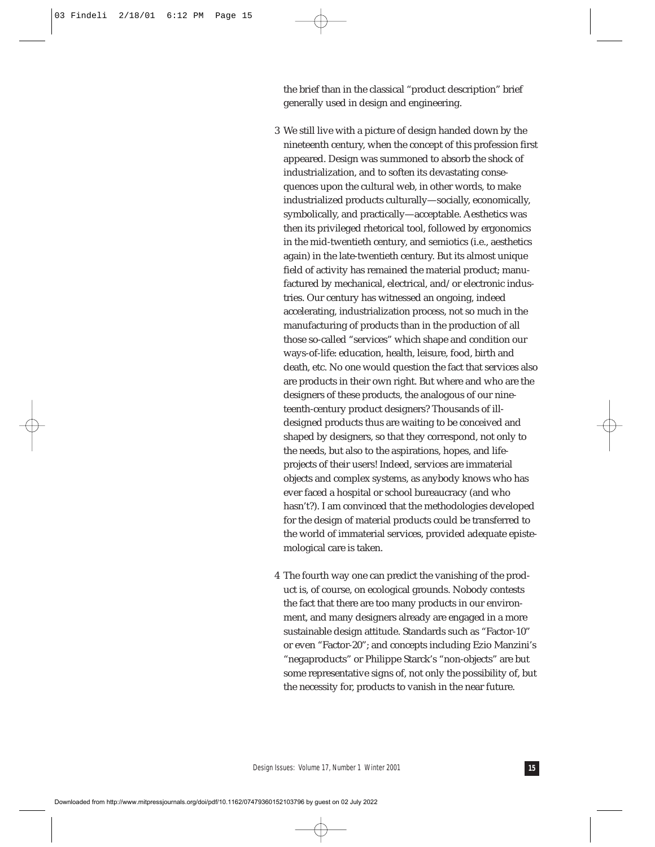the brief than in the classical "product description" brief generally used in design and engineering.

- 3 We still live with a picture of design handed down by the nineteenth century, when the concept of this profession first appeared. Design was summoned to absorb the shock of industrialization, and to soften its devastating consequences upon the cultural web, in other words, to make industrialized products culturally—socially, economically, symbolically, and practically—acceptable. Aesthetics was then its privileged rhetorical tool, followed by ergonomics in the mid-twentieth century, and semiotics (i.e., aesthetics again) in the late-twentieth century. But its almost unique field of activity has remained the material product; manufactured by mechanical, electrical, and/or electronic industries. Our century has witnessed an ongoing, indeed accelerating, industrialization process, not so much in the manufacturing of products than in the production of all those so-called "services" which shape and condition our ways-of-life: education, health, leisure, food, birth and death, etc. No one would question the fact that services also are products in their own right. But where and who are the designers of these products, the analogous of our nineteenth-century product designers? Thousands of illdesigned products thus are waiting to be conceived and shaped by designers, so that they correspond, not only to the needs, but also to the aspirations, hopes, and lifeprojects of their users! Indeed, services are immaterial objects and complex systems, as anybody knows who has ever faced a hospital or school bureaucracy (and who hasn't?). I am convinced that the methodologies developed for the design of material products could be transferred to the world of immaterial services, provided adequate epistemological care is taken.
- 4 The fourth way one can predict the vanishing of the product is, of course, on ecological grounds. Nobody contests the fact that there are too many products in our environment, and many designers already are engaged in a more sustainable design attitude. Standards such as "Factor-10" or even "Factor-20"; and concepts including Ezio Manzini's "negaproducts" or Philippe Starck's "non-objects" are but some representative signs of, not only the possibility of, but the necessity for, products to vanish in the near future.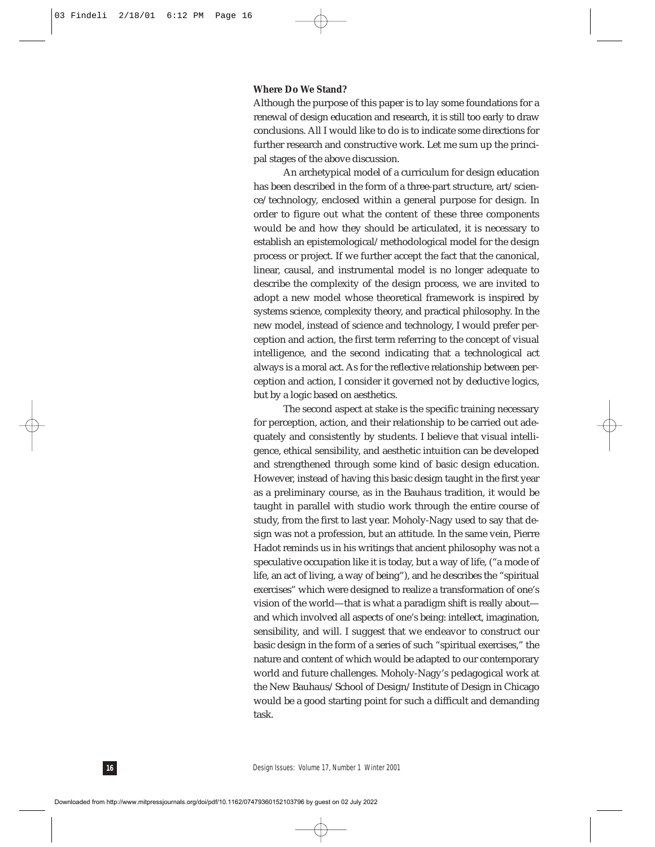## **Where Do We Stand?**

Although the purpose of this paper is to lay some foundations for a renewal of design education and research, it is still too early to draw conclusions. All I would like to do is to indicate some directions for further research and constructive work. Let me sum up the principal stages of the above discussion.

An archetypical model of a curriculum for design education has been described in the form of a three-part structure, art/science/technology, enclosed within a general purpose for design. In order to figure out what the content of these three components would be and how they should be articulated, it is necessary to establish an epistemological/methodological model for the design process or project. If we further accept the fact that the canonical, linear, causal, and instrumental model is no longer adequate to describe the complexity of the design process, we are invited to adopt a new model whose theoretical framework is inspired by systems science, complexity theory, and practical philosophy. In the new model, instead of science and technology, I would prefer perception and action, the first term referring to the concept of visual intelligence, and the second indicating that a technological act always is a moral act. As for the reflective relationship between perception and action, I consider it governed not by deductive logics, but by a logic based on aesthetics.

The second aspect at stake is the specific training necessary for perception, action, and their relationship to be carried out adequately and consistently by students. I believe that visual intelligence, ethical sensibility, and aesthetic intuition can be developed and strengthened through some kind of basic design education. However, instead of having this basic design taught in the first year as a preliminary course, as in the Bauhaus tradition, it would be taught in parallel with studio work through the entire course of study, from the first to last year. Moholy-Nagy used to say that design was not a profession, but an attitude. In the same vein, Pierre Hadot reminds us in his writings that ancient philosophy was not a speculative occupation like it is today, but a way of life, ("a mode of life, an act of living, a way of being"), and he describes the "spiritual exercises" which were designed to realize a transformation of one's vision of the world—that is what a paradigm shift is really about and which involved all aspects of one's being: intellect, imagination, sensibility, and will. I suggest that we endeavor to construct our basic design in the form of a series of such "spiritual exercises," the nature and content of which would be adapted to our contemporary world and future challenges. Moholy-Nagy's pedagogical work at the New Bauhaus/School of Design/Institute of Design in Chicago would be a good starting point for such a difficult and demanding task.

**16** Design Issues: Volume 17, Number 1 Winter 2001